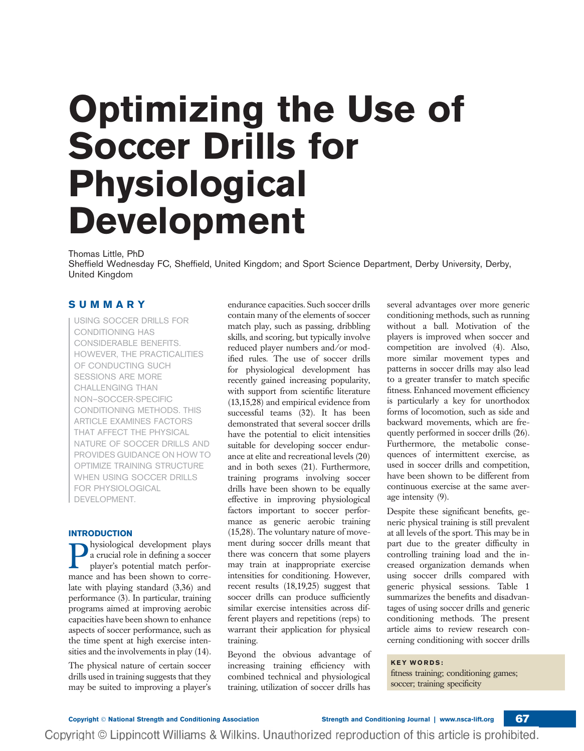# Optimizing the Use of Soccer Drills for Physiological Development

Thomas Little, PhD

Sheffield Wednesday FC, Sheffield, United Kingdom; and Sport Science Department, Derby University, Derby, United Kingdom

## SUMMARY

USING SOCCER DRILLS FOR CONDITIONING HAS CONSIDERABLE BENEFITS. HOWEVER, THE PRACTICALITIES OF CONDUCTING SUCH SESSIONS ARE MORE CHALLENGING THAN NON–SOCCER-SPECIFIC CONDITIONING METHODS. THIS ARTICLE EXAMINES FACTORS THAT AFFECT THE PHYSICAL NATURE OF SOCCER DRILLS AND PROVIDES GUIDANCE ON HOW TO OPTIMIZE TRAINING STRUCTURE WHEN USING SOCCER DRILLS FOR PHYSIOLOGICAL DEVELOPMENT.

#### INTRODUCTION

**P**hysiological development plays<br>a crucial role in defining a soccer<br>player's potential match perfora crucial role in defining a soccer player's potential match performance and has been shown to correlate with playing standard (3,36) and performance (3). In particular, training programs aimed at improving aerobic capacities have been shown to enhance aspects of soccer performance, such as the time spent at high exercise intensities and the involvements in play (14).

The physical nature of certain soccer drills used in training suggests that they may be suited to improving a player's

endurance capacities. Such soccer drills contain many of the elements of soccer match play, such as passing, dribbling skills, and scoring, but typically involve reduced player numbers and/or modified rules. The use of soccer drills for physiological development has recently gained increasing popularity, with support from scientific literature (13,15,28) and empirical evidence from successful teams (32). It has been demonstrated that several soccer drills have the potential to elicit intensities suitable for developing soccer endurance at elite and recreational levels (20) and in both sexes (21). Furthermore, training programs involving soccer drills have been shown to be equally effective in improving physiological factors important to soccer performance as generic aerobic training (15,28). The voluntary nature of movement during soccer drills meant that there was concern that some players may train at inappropriate exercise intensities for conditioning. However, recent results (18,19,25) suggest that soccer drills can produce sufficiently similar exercise intensities across different players and repetitions (reps) to warrant their application for physical training.

Beyond the obvious advantage of increasing training efficiency with combined technical and physiological training, utilization of soccer drills has

several advantages over more generic conditioning methods, such as running without a ball. Motivation of the players is improved when soccer and competition are involved (4). Also, more similar movement types and patterns in soccer drills may also lead to a greater transfer to match specific fitness. Enhanced movement efficiency is particularly a key for unorthodox forms of locomotion, such as side and backward movements, which are frequently performed in soccer drills (26). Furthermore, the metabolic consequences of intermittent exercise, as used in soccer drills and competition, have been shown to be different from continuous exercise at the same average intensity (9).

Despite these significant benefits, generic physical training is still prevalent at all levels of the sport. This may be in part due to the greater difficulty in controlling training load and the increased organization demands when using soccer drills compared with generic physical sessions. Table 1 summarizes the benefits and disadvantages of using soccer drills and generic conditioning methods. The present article aims to review research concerning conditioning with soccer drills

## KEY WORDS:

fitness training; conditioning games; soccer; training specificity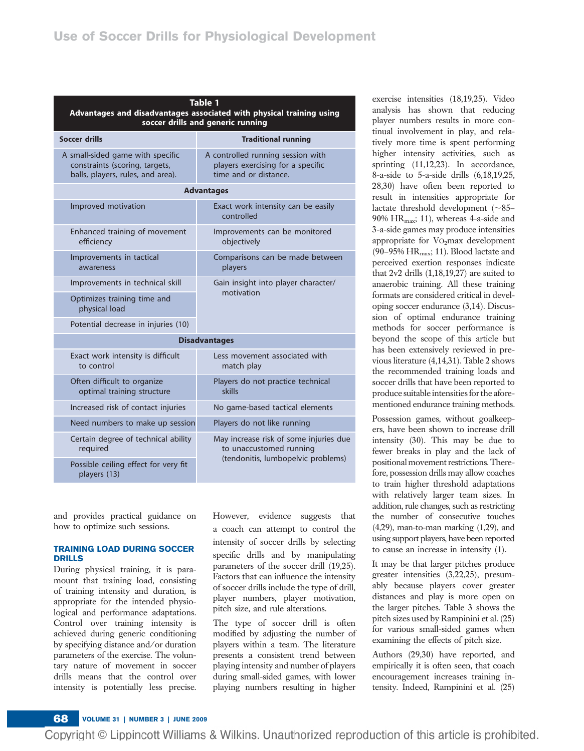| Table 1<br>Advantages and disadvantages associated with physical training using<br>soccer drills and generic running |                                                                                                 |  |  |  |  |  |  |  |  |  |  |  |  |
|----------------------------------------------------------------------------------------------------------------------|-------------------------------------------------------------------------------------------------|--|--|--|--|--|--|--|--|--|--|--|--|
| <b>Soccer drills</b>                                                                                                 | <b>Traditional running</b>                                                                      |  |  |  |  |  |  |  |  |  |  |  |  |
| A small-sided game with specific<br>constraints (scoring, targets,<br>balls, players, rules, and area).              | A controlled running session with<br>players exercising for a specific<br>time and or distance. |  |  |  |  |  |  |  |  |  |  |  |  |
|                                                                                                                      | <b>Advantages</b>                                                                               |  |  |  |  |  |  |  |  |  |  |  |  |
| Improved motivation                                                                                                  | Exact work intensity can be easily<br>controlled                                                |  |  |  |  |  |  |  |  |  |  |  |  |
| Enhanced training of movement<br>efficiency                                                                          | Improvements can be monitored<br>objectively                                                    |  |  |  |  |  |  |  |  |  |  |  |  |
| Improvements in tactical<br>awareness                                                                                | Comparisons can be made between<br>players                                                      |  |  |  |  |  |  |  |  |  |  |  |  |
| Improvements in technical skill                                                                                      | Gain insight into player character/                                                             |  |  |  |  |  |  |  |  |  |  |  |  |
| Optimizes training time and<br>physical load                                                                         | motivation                                                                                      |  |  |  |  |  |  |  |  |  |  |  |  |
| Potential decrease in injuries (10)                                                                                  |                                                                                                 |  |  |  |  |  |  |  |  |  |  |  |  |
|                                                                                                                      | <b>Disadvantages</b>                                                                            |  |  |  |  |  |  |  |  |  |  |  |  |
| Exact work intensity is difficult<br>to control                                                                      | Less movement associated with<br>match play                                                     |  |  |  |  |  |  |  |  |  |  |  |  |
| Often difficult to organize<br>optimal training structure                                                            | Players do not practice technical<br>skills                                                     |  |  |  |  |  |  |  |  |  |  |  |  |
| Increased risk of contact injuries                                                                                   | No game-based tactical elements                                                                 |  |  |  |  |  |  |  |  |  |  |  |  |
| Need numbers to make up session                                                                                      | Players do not like running                                                                     |  |  |  |  |  |  |  |  |  |  |  |  |
| Certain degree of technical ability<br>required                                                                      | May increase risk of some injuries due<br>to unaccustomed running                               |  |  |  |  |  |  |  |  |  |  |  |  |
| Possible ceiling effect for very fit<br>players (13)                                                                 | (tendonitis, lumbopelvic problems)                                                              |  |  |  |  |  |  |  |  |  |  |  |  |

and provides practical guidance on how to optimize such sessions.

## TRAINING LOAD DURING SOCCER DRILLS

During physical training, it is paramount that training load, consisting of training intensity and duration, is appropriate for the intended physiological and performance adaptations. Control over training intensity is achieved during generic conditioning by specifying distance and/or duration parameters of the exercise. The voluntary nature of movement in soccer drills means that the control over intensity is potentially less precise.

However, evidence suggests that a coach can attempt to control the intensity of soccer drills by selecting specific drills and by manipulating parameters of the soccer drill (19,25). Factors that can influence the intensity of soccer drills include the type of drill, player numbers, player motivation, pitch size, and rule alterations.

The type of soccer drill is often modified by adjusting the number of players within a team. The literature presents a consistent trend between playing intensity and number of players during small-sided games, with lower playing numbers resulting in higher

exercise intensities (18,19,25). Video analysis has shown that reducing player numbers results in more continual involvement in play, and relatively more time is spent performing higher intensity activities, such as sprinting  $(11,12,23)$ . In accordance, 8-a-side to 5-a-side drills (6,18,19,25, 28,30) have often been reported to result in intensities appropriate for lactate threshold development  $(~85-$ 90% HRmax; 11), whereas 4-a-side and 3-a-side games may produce intensities appropriate for VO<sub>2</sub>max development (90–95%  $HR_{max}$ ; 11). Blood lactate and perceived exertion responses indicate that 2v2 drills (1,18,19,27) are suited to anaerobic training. All these training formats are considered critical in developing soccer endurance (3,14). Discussion of optimal endurance training methods for soccer performance is beyond the scope of this article but has been extensively reviewed in previous literature (4,14,31). Table 2 shows the recommended training loads and soccer drills that have been reported to produce suitable intensities for the aforementioned endurance training methods.

Possession games, without goalkeepers, have been shown to increase drill intensity (30). This may be due to fewer breaks in play and the lack of positional movement restrictions. Therefore, possession drills may allow coaches to train higher threshold adaptations with relatively larger team sizes. In addition, rule changes, such as restricting the number of consecutive touches (4,29), man-to-man marking (1,29), and using support players, have been reported to cause an increase in intensity (1).

It may be that larger pitches produce greater intensities (3,22,25), presumably because players cover greater distances and play is more open on the larger pitches. Table 3 shows the pitch sizes used by Rampinini et al. (25) for various small-sided games when examining the effects of pitch size.

Authors (29,30) have reported, and empirically it is often seen, that coach encouragement increases training intensity. Indeed, Rampinini et al. (25)

## 68 VOLUME 31 | NUMBER 3 | JUNE <sup>2009</sup>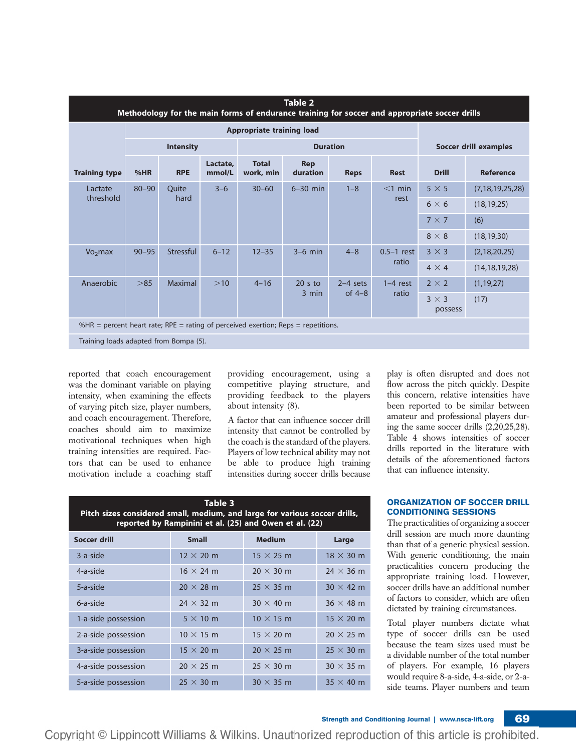| <b>Table 2</b><br>Methodology for the main forms of endurance training for soccer and appropriate soccer drills |           |                  |                    |                           |                        |             |              |                         |                     |  |  |  |  |
|-----------------------------------------------------------------------------------------------------------------|-----------|------------------|--------------------|---------------------------|------------------------|-------------|--------------|-------------------------|---------------------|--|--|--|--|
|                                                                                                                 |           |                  |                    |                           |                        |             |              |                         |                     |  |  |  |  |
|                                                                                                                 |           | <b>Intensity</b> |                    |                           | Soccer drill examples  |             |              |                         |                     |  |  |  |  |
| <b>Training type</b>                                                                                            | %HR       | <b>RPE</b>       | Lactate,<br>mmol/L | <b>Total</b><br>work, min | <b>Rep</b><br>duration | <b>Reps</b> | <b>Rest</b>  | <b>Drill</b>            | <b>Reference</b>    |  |  |  |  |
| Lactate                                                                                                         | $80 - 90$ | Ouite            | $3 - 6$            | $30 - 60$                 | $6-30$ min             | $1 - 8$     | $<$ 1 min    | $5 \times 5$            | (7, 18, 19, 25, 28) |  |  |  |  |
| threshold                                                                                                       |           | hard             |                    |                           |                        |             | rest         | $6 \times 6$            | (18, 19, 25)        |  |  |  |  |
|                                                                                                                 |           |                  |                    |                           |                        |             |              | $7 \times 7$            | (6)                 |  |  |  |  |
|                                                                                                                 |           |                  |                    |                           |                        |             |              | $8 \times 8$            | (18, 19, 30)        |  |  |  |  |
| Vo <sub>2</sub> max                                                                                             | $90 - 95$ | Stressful        | $6 - 12$           | $12 - 35$                 | $3-6$ min              | $4 - 8$     | $0.5-1$ rest | $3 \times 3$            | (2, 18, 20, 25)     |  |  |  |  |
|                                                                                                                 |           |                  |                    |                           |                        |             | ratio        | $4 \times 4$            | (14, 18, 19, 28)    |  |  |  |  |
| Anaerobic                                                                                                       | $>85$     | Maximal          | >10                | $4 - 16$                  | $20s$ to               | $2-4$ sets  | $1-4$ rest   | $2 \times 2$            | (1, 19, 27)         |  |  |  |  |
|                                                                                                                 |           |                  |                    |                           | 3 min                  | of $4-8$    | ratio        | $3 \times 3$<br>possess | (17)                |  |  |  |  |
| %HR = percent heart rate; RPE = rating of perceived exertion; Reps = repetitions.                               |           |                  |                    |                           |                        |             |              |                         |                     |  |  |  |  |
| Training loads adapted from Bompa (5).                                                                          |           |                  |                    |                           |                        |             |              |                         |                     |  |  |  |  |

reported that coach encouragement was the dominant variable on playing intensity, when examining the effects of varying pitch size, player numbers, and coach encouragement. Therefore, coaches should aim to maximize motivational techniques when high training intensities are required. Factors that can be used to enhance motivation include a coaching staff

providing encouragement, using a competitive playing structure, and providing feedback to the players about intensity (8).

A factor that can influence soccer drill intensity that cannot be controlled by the coach is the standard of the players. Players of low technical ability may not be able to produce high training intensities during soccer drills because

play is often disrupted and does not flow across the pitch quickly. Despite this concern, relative intensities have been reported to be similar between amateur and professional players during the same soccer drills (2,20,25,28). Table 4 shows intensities of soccer drills reported in the literature with details of the aforementioned factors that can influence intensity.

ORGANIZATION OF SOCCER DRILL CONDITIONING SESSIONS

The practicalities of organizing a soccer drill session are much more daunting than that of a generic physical session. With generic conditioning, the main practicalities concern producing the appropriate training load. However, soccer drills have an additional number of factors to consider, which are often dictated by training circumstances.

Total player numbers dictate what type of soccer drills can be used because the team sizes used must be a dividable number of the total number of players. For example, 16 players would require 8-a-side, 4-a-side, or 2-aside teams. Player numbers and team

| Table 3'                                                                   |
|----------------------------------------------------------------------------|
| Pitch sizes considered small, medium, and large for various soccer drills, |
| reported by Rampinini et al. (25) and Owen et al. (22)                     |

| Soccer drill        | <b>Small</b>     | <b>Medium</b>    | Large            |  |  |  |
|---------------------|------------------|------------------|------------------|--|--|--|
| 3-a-side            | $12 \times 20$ m | $15 \times 25$ m | $18 \times 30$ m |  |  |  |
| $4-a$ -side         | $16 \times 24$ m | $20 \times 30$ m | $24 \times 36$ m |  |  |  |
| $5-a-side$          | $20 \times 28$ m | $25 \times 35$ m | $30 \times 42$ m |  |  |  |
| $6-a-side$          | $24 \times 32$ m | $30 \times 40$ m | $36 \times 48$ m |  |  |  |
| 1-a-side possession | $5 \times 10$ m  | $10 \times 15$ m | $15 \times 20$ m |  |  |  |
| 2-a-side possession | $10 \times 15$ m | $15 \times 20$ m | $20 \times 25$ m |  |  |  |
| 3-a-side possession | $15 \times 20$ m | $20 \times 25$ m | $25 \times 30$ m |  |  |  |
| 4-a-side possession | $20 \times 25$ m | $25 \times 30$ m | $30 \times 35$ m |  |  |  |
| 5-a-side possession | $25 \times 30$ m | $30 \times 35$ m | $35 \times 40$ m |  |  |  |
|                     |                  |                  |                  |  |  |  |

Strength and Conditioning Journal | www.nsca-lift.org 69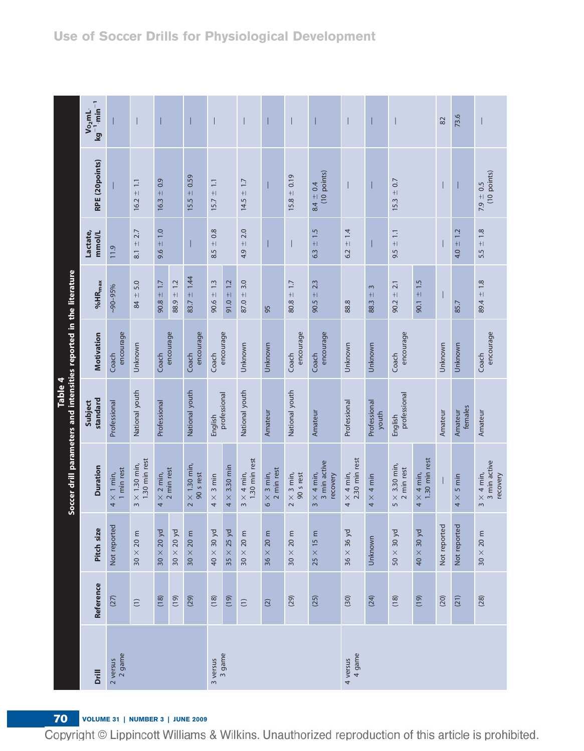|                                                                               | $kg^{-1}$ min $^{-1}$<br>$Vo_2mL$ |                                    |                                                     | I                    |                   | I                                 |                         |                        |                                    |                                          | I                              |                                               |                                    |                                | $\overline{\phantom{a}}$           |                                    | 82           | 73.6                  |                                               |
|-------------------------------------------------------------------------------|-----------------------------------|------------------------------------|-----------------------------------------------------|----------------------|-------------------|-----------------------------------|-------------------------|------------------------|------------------------------------|------------------------------------------|--------------------------------|-----------------------------------------------|------------------------------------|--------------------------------|------------------------------------|------------------------------------|--------------|-----------------------|-----------------------------------------------|
|                                                                               | RPE (20points)                    |                                    | $\pm$ 1.1<br>16.2                                   | $\pm 0.9$<br>16.3    |                   | $15.5 \pm 0.59$                   | $15.7 \pm 1.1$          |                        | $14.5 \pm 1.7$                     |                                          | $15.8 \pm 0.19$                | (10 points)<br>$8.4 \pm 0.4$                  | I                                  |                                | $15.3 \pm 0.7$                     |                                    |              | I                     | (10 points)<br>$7.9 \pm 0.5$                  |
|                                                                               | Lactate,<br>mmol/L                | 11.9                               | $8.1 \pm 2.7$                                       | $\pm$ 1.0<br>9.6     |                   |                                   | $8.5 \pm 0.8$           |                        | $4.9 \pm 2.0$                      |                                          |                                | $\frac{1}{2}$<br>$\frac{3}{6}$                | $6.2 \pm 1.4$                      |                                | $9.5 \pm 1.1$                      |                                    |              | $4.0 \pm 1.2$         | $5.5 \pm 1.8$                                 |
|                                                                               | $%HR_{max}$                       | $-90-95%$                          | 5.0<br>$84 +$                                       | $90.8 \pm 1.7$       | $88.9 \pm 1.2$    | $83.7 \pm 1.44$                   | $90.6 \pm 1.3$          | $91.0 \pm 1.2$         | $87.0 + 3.0$                       | 95                                       | $\pm$ 1.7<br>80.8              | $90.5 \pm 2.3$                                | 88.8                               | $\mathbf{\hat{z}}$<br>$88.3 +$ | $90.2 \pm 2.1$                     | $90.1 \pm 1.5$                     |              | 85.7                  | $89.4 \pm 1.8$                                |
| Soccer drill parameters and intensities reported in the literature<br>Table 4 | Motivation                        | encourage<br>Coach                 | Unknown                                             | encourage<br>Coach   |                   | encourage<br>Coach                |                         | encourage              | Unknown                            | Unknown                                  | encourage<br>Coach             | encourage<br>Coach                            | Unknown                            | Unknown                        | encourage<br>Coach                 |                                    | Unknown      | Unknown               | encourage<br>Coach                            |
|                                                                               | standard<br>Subject               | Professional                       | National youth                                      | Professional         |                   | National youth                    | professional<br>English |                        | National youth                     | Amateur                                  | National youth                 | Amateur                                       | Professional                       | Professional<br>youth          | professional<br>English            |                                    | Amateur      | females<br>Amateur    | Amateur                                       |
|                                                                               | Duration                          | 1 min rest<br>$\times$ 1 min,<br>4 | 1.30 min rest<br>$\times$ 1.30 min,<br>$\mathsf{m}$ | $\times$ 2 min,<br>4 | 2 min rest        | $2 \times 1.30$ min,<br>90 s rest | $\times$ 3 min<br>4     | $\times$ 3.30 min<br>4 | 1.30 min rest<br>$3 \times 4$ min, | 2 min rest<br>$\times$ 3 min,<br>$\circ$ | $2 \times 3$ min,<br>90 s rest | 3 min active<br>$3 \times 4$ min,<br>recovery | 2.30 min rest<br>$4 \times 4$ min, | $4 \times 4$ min               | $5 \times 3.30$ min,<br>2 min rest | 1.30 min rest<br>$4 \times 4$ min, | I            | $5$ min<br>$4 \times$ | 3 min active<br>$3 \times 4$ min,<br>recovery |
|                                                                               | Pitch size                        | Not reported                       | $30 \times 20$ m                                    | $30 \times 20$ yd    | $30 \times 20$ yd | $30 \times 20$ m                  | $40 \times 30$ yd       | $35 \times 25$ yd      | $30 \times 20$ m                   | $36 \times 20$ m                         | $30 \times 20$ m               | $25 \times 15$ m                              | $36 \times 36$ yd                  | Unknown                        | $50 \times 30$ yd                  | $40 \times 30$ yd                  | Not reported | Not reported          | $30 \times 20$ m                              |
|                                                                               | Reference                         | (27)                               | $\widehat{\Xi}$                                     | (18)                 | (19)              | (29)                              | $(18)$                  | (19)                   | $\widehat{z}$                      | $\widetilde{\text{C}}$                   | (29)                           | (25)                                          | (30)                               | (24)                           | (18)                               | (19)                               | (20)         | (21)                  | (28)                                          |
|                                                                               | Drill                             | 2 game<br>2 versus                 |                                                     |                      |                   |                                   | 3 game<br>3 versus      |                        |                                    |                                          |                                |                                               | 4 game<br>4 versus                 |                                |                                    |                                    |              |                       |                                               |

70 VOLUME 31 | NUMBER 3 | JUNE <sup>2009</sup>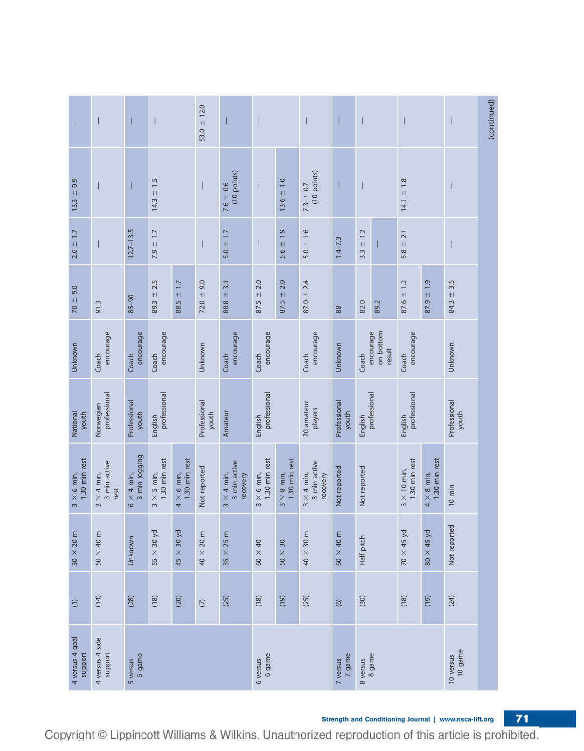|                                            |                                           | I                                  | ı                                  |                                    |                       |                                                               | $53.0 \pm 12.0$                    |                                    |                                               |                       |              |                                  |                                     |                                    |                       |                           |               | (continued) |                                 |  |               |                              |  |                |                              |         |  |  |                |  |  |  |
|--------------------------------------------|-------------------------------------------|------------------------------------|------------------------------------|------------------------------------|-----------------------|---------------------------------------------------------------|------------------------------------|------------------------------------|-----------------------------------------------|-----------------------|--------------|----------------------------------|-------------------------------------|------------------------------------|-----------------------|---------------------------|---------------|-------------|---------------------------------|--|---------------|------------------------------|--|----------------|------------------------------|---------|--|--|----------------|--|--|--|
| $13.3 \pm 0.9$                             |                                           |                                    | $14.3 \pm 1.5$                     |                                    |                       |                                                               |                                    |                                    |                                               |                       |              |                                  |                                     |                                    |                       |                           |               |             |                                 |  |               | (10~points)<br>$7.6 \pm 0.6$ |  | $13.6 \pm 1.0$ | (10~points)<br>$7.3 \pm 0.7$ | $\vert$ |  |  | $14.1 \pm 1.8$ |  |  |  |
| $2.6 \pm 1.7$                              |                                           | $12.7 - 13.5$                      | $7.9 \pm 1.7$                      |                                    |                       |                                                               |                                    |                                    |                                               |                       |              |                                  |                                     | $5.0 \pm 1.7$                      |                       | $\ddot{0}$<br>$+1$<br>5.6 | $5.0 \pm 1.6$ | $1.4 - 7.3$ | 1.2<br>$+1$<br>$3.\overline{3}$ |  | $5.8 \pm 2.1$ |                              |  |                |                              |         |  |  |                |  |  |  |
| $70 \pm 9.0$                               | 91.3                                      | $06 - 38$                          | 2.5<br>$+1$<br>89.3                | $\overline{1.7}$<br>$+1$<br>88.5   | 9.0<br>$72.0 +$       | $88.8 \pm 3.1$                                                | $87.5 \pm 2.0$                     | 2.0<br>$87.5 \pm$                  | $87.0 \pm 2.4$                                | 88                    | 82.0         | $87.6 \pm 1.2$<br>89.2           |                                     | $87.9 \pm 1.9$                     | $84.3 + 3.5$          |                           |               |             |                                 |  |               |                              |  |                |                              |         |  |  |                |  |  |  |
| Unknown                                    | encourage<br>Coach                        | encourage<br>Coach                 | encourage<br>Coach                 | Unknown                            |                       | encourage<br>Coach                                            |                                    |                                    | encourage<br>Coach                            | Unknown               | Coach        | on bottom<br>encourage<br>result | encourage<br>Coach                  |                                    | Unknown               |                           |               |             |                                 |  |               |                              |  |                |                              |         |  |  |                |  |  |  |
| youth<br>National                          | professional<br>Norwegian                 | Professional<br>youth              | professional<br>English            |                                    | Professional<br>youth | Amateur                                                       | professional<br>English            |                                    | 20 amateur<br>players                         | Professional<br>youth | English      | professional                     | professional<br>English             |                                    | Professional<br>youth |                           |               |             |                                 |  |               |                              |  |                |                              |         |  |  |                |  |  |  |
| 1.30 min rest<br>$\times$ 6 min,<br>$\sim$ | 3 min active<br>$2 \times 4$ min,<br>rest | $6 \times 4$ min,<br>3 min jogging | 1.30 min rest<br>$3 \times 5$ min, | 1.30 min rest<br>$4 \times 6$ min, | Not reported          | 3 min active<br>$\times$ 4 min,<br>recovery<br>$\overline{m}$ | 1.30 min rest<br>$3 \times 6$ min, | 1.30 min rest<br>$3 \times 8$ min, | 3 min active<br>$3 \times 4$ min,<br>recovery | Not reported          | Not reported |                                  | 1.30 min rest<br>$3 \times 10$ min, | 1.30 min rest<br>$4 \times 8$ min, | $10 \text{ min}$      |                           |               |             |                                 |  |               |                              |  |                |                              |         |  |  |                |  |  |  |
| $30 \times 20$ m                           | $50 \times 40$ m                          | Unknown                            | 30 yd<br>$55 \times$               | $45 \times 30$ yd                  | 20 m<br>$40 \times$   | $35 \times 25$ m                                              | $60 \times 40$                     | 30<br>$50~\times$                  | $40 \times 30$ m                              | $60 \times 40$ m      | Half pitch   |                                  | $70 \times 45$ yd                   | $80 \times 45$ yd                  | Not reported          |                           |               |             |                                 |  |               |                              |  |                |                              |         |  |  |                |  |  |  |
| $\widehat{E}$                              | (14)                                      | (28)                               | (18)                               | (20)                               | $\widehat{\subset}$   | (25)                                                          | (18)                               | (19)                               | (25)                                          | $\circledcirc$        | (30)         |                                  | (18)                                | (19)                               | (24)                  |                           |               |             |                                 |  |               |                              |  |                |                              |         |  |  |                |  |  |  |
| 4 versus 4 goal<br>support                 | 4 versus 4 side<br>support                | 5 game<br>5 versus                 |                                    |                                    |                       |                                                               | 6 game<br>6 versus                 |                                    |                                               | 7 game<br>7 versus    | 8 versus     | 8 game                           |                                     |                                    | 10 game<br>10 versus  |                           |               |             |                                 |  |               |                              |  |                |                              |         |  |  |                |  |  |  |

Strength and Conditioning Journal | www.nsca-lift.org 71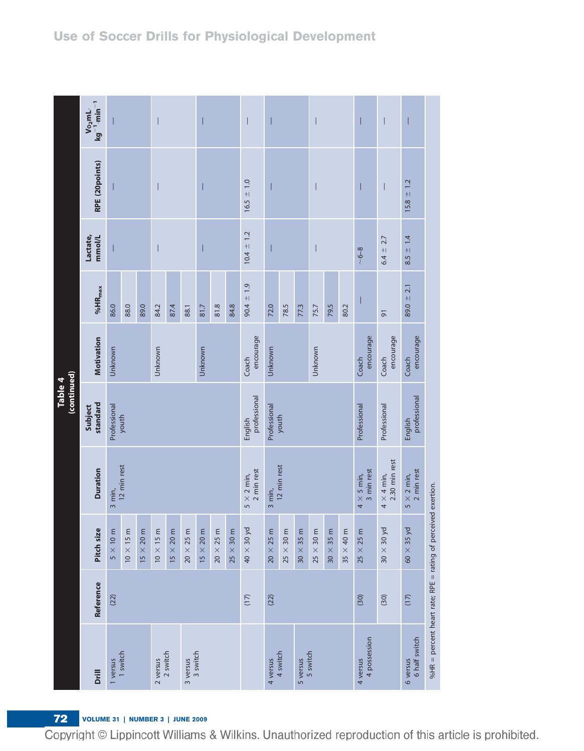# Use of Soccer Drills for Physiological Development

## 72 VOLUME 31 | NUMBER 3 | JUNE <sup>2009</sup>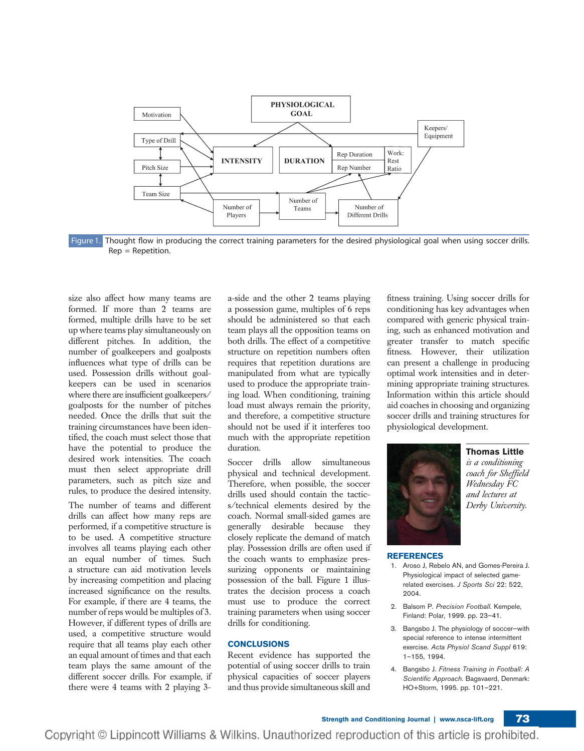

Figure 1. Thought flow in producing the correct training parameters for the desired physiological goal when using soccer drills. Rep = Repetition.

size also affect how many teams are formed. If more than 2 teams are formed, multiple drills have to be set up where teams play simultaneously on different pitches. In addition, the number of goalkeepers and goalposts influences what type of drills can be used. Possession drills without goalkeepers can be used in scenarios where there are insufficient goalkeepers/ goalposts for the number of pitches needed. Once the drills that suit the training circumstances have been identified, the coach must select those that have the potential to produce the desired work intensities. The coach must then select appropriate drill parameters, such as pitch size and rules, to produce the desired intensity. The number of teams and different drills can affect how many reps are performed, if a competitive structure is to be used. A competitive structure involves all teams playing each other an equal number of times. Such a structure can aid motivation levels by increasing competition and placing increased significance on the results. For example, if there are 4 teams, the number of reps would be multiples of 3. However, if different types of drills are used, a competitive structure would require that all teams play each other an equal amount of times and that each team plays the same amount of the different soccer drills. For example, if there were 4 teams with 2 playing 3a-side and the other 2 teams playing a possession game, multiples of 6 reps should be administered so that each team plays all the opposition teams on both drills. The effect of a competitive structure on repetition numbers often requires that repetition durations are manipulated from what are typically used to produce the appropriate training load. When conditioning, training load must always remain the priority, and therefore, a competitive structure should not be used if it interferes too much with the appropriate repetition duration.

Soccer drills allow simultaneous physical and technical development. Therefore, when possible, the soccer drills used should contain the tactics/technical elements desired by the coach. Normal small-sided games are generally desirable because they closely replicate the demand of match play. Possession drills are often used if the coach wants to emphasize pressurizing opponents or maintaining possession of the ball. Figure 1 illustrates the decision process a coach must use to produce the correct training parameters when using soccer drills for conditioning.

### **CONCLUSIONS**

Recent evidence has supported the potential of using soccer drills to train physical capacities of soccer players and thus provide simultaneous skill and

fitness training. Using soccer drills for conditioning has key advantages when compared with generic physical training, such as enhanced motivation and greater transfer to match specific fitness. However, their utilization can present a challenge in producing optimal work intensities and in determining appropriate training structures. Information within this article should aid coaches in choosing and organizing soccer drills and training structures for physiological development.



#### Thomas Little

is a conditioning coach for Sheffield Wednesday FC and lectures at Derby University.

#### **REFERENCES**

- 1. Aroso J, Rebelo AN, and Gomes-Pereira J. Physiological impact of selected gamerelated exercises. J Sports Sci 22: 522, 2004.
- 2. Balsom P. Precision Football. Kempele, Finland: Polar, 1999. pp. 23–41.
- 3. Bangsbo J. The physiology of soccer—with special reference to intense intermittent exercise. Acta Physiol Scand Suppl 619: 1–155, 1994.
- 4. Bangsbo J. Fitness Training in Football: A Scientific Approach. Bagsvaerd, Denmark: HO+Storm, 1995. pp. 101–221.